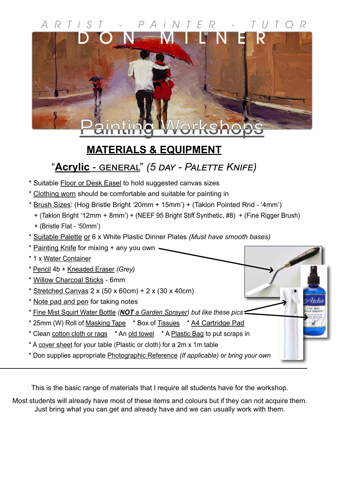# **Painting Workshops** DON MILNER ARTiST - PAiNTER - TUTOR

## **MATERIALS & EQUIPMENT**

## "**Acrylic** - general" *(5 day - Palette Knife)*

- \* Suitable Floor or Desk Easel to hold suggested canvas sizes
- \* Clothing worn should be comfortable and suitable for painting in
- \* Brush Sizes: (Hog Bristle Bright '20mm + 15mm') + (Taklon Pointed Rnd '4mm')
	- + (Taklon Bright '12mm + 8mm') + (NEEF 95 Bright Stiff Synthetic, #8) + (Fine Rigger Brush)
	- + (Bristle Flat '50mm')
- \* Suitable Palette or 6 x White Plastic Dinner Plates *(Must have smooth bases)*
- \* Painting Knife for mixing + any you own  $\sim$ \* 1 x Water Container
- \* Pencil 4b + Kneaded Eraser *(Grey)* \* Willow Charcoal Sticks - 6mm  $*$  Stretched Canvas 2 x (50 x 60cm) + 2 x (30 x 40cm) \* Note pad and pen for taking notes \* Fine Mist Squirt Water Bottle *(NOT a Garden Sprayer) but like these pics* \* 25mm (W) Roll of Masking Tape \* Box of Tissues \* A4 Cartridge Pad \* Clean cotton cloth or rags \* An old towel \* A Plastic Bag to put scraps in \* A cover sheet for your table (Plastic or cloth) for a 2m x 1m table \* Don supplies appropriate Photographic Reference *(If applicable) or bring your own*

This is the basic range of materials that I require all students have for the workshop.

Most students will already have most of these items and colours but if they can not acquire them. Just bring what you can get and already have and we can usually work with them.